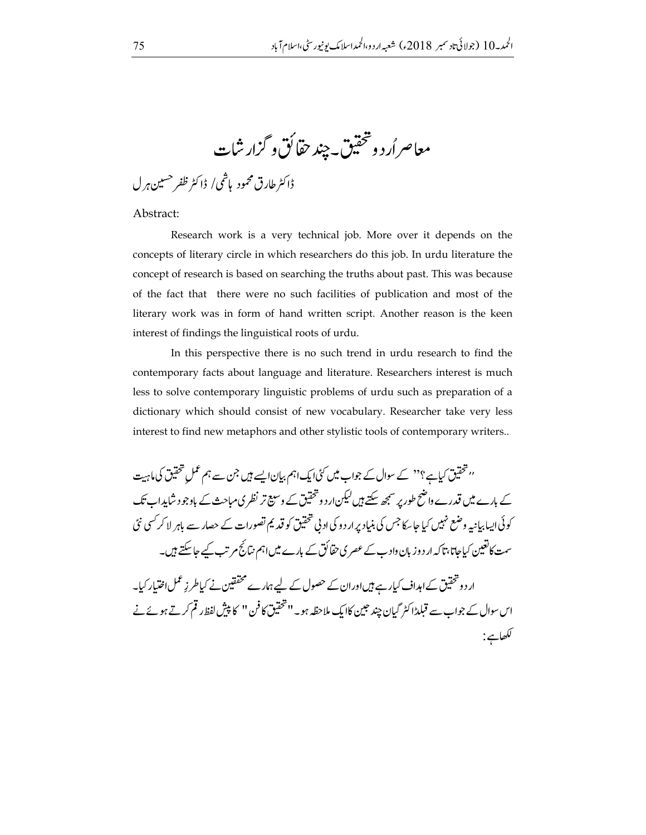معاصر أرد وتحقيق ييند حقائق و گزار شات

ڈاکٹر طارق محمود پاشمی/ ڈاکٹر ظفر حسین ہرل

Abstract:

Research work is a very technical job. More over it depends on the concepts of literary circle in which researchers do this job. In urdu literature the concept of research is based on searching the truths about past. This was because of the fact that there were no such facilities of publication and most of the literary work was in form of hand written script. Another reason is the keen interest of findings the linguistical roots of urdu.

In this perspective there is no such trend in urdu research to find the contemporary facts about language and literature. Researchers interest is much less to solve contemporary linguistic problems of urdu such as preparation of a dictionary which should consist of new vocabulary. Researcher take very less interest to find new metaphors and other stylistic tools of contemporary writers..

''تحقیق کیاہے؟'' کے سوال کے جواب میں کئی ایک اہم بیان ایسے ہیں جن سے ہم عمل تحقیق کی ماہیت کے بارے میں قدرے واضح طور پر سمجھ سکتے ہیں لیکن ار د و تحقیق کے وسیع تر نظر ی مباحث کے باوجو د شایدا۔ تک کوئی ایبا بیانیہ وضع نہیں کیا جاسکا جس کی بنیاد پر ار دو کی ادنی تحقیق کو قدیم تصورات کے حصار سے باہر لا کر کسی نئی سمت کانغین کیاجاتا، تاکہ ار دوز بان واد ب کے عصر ی حقائق کے بارے میں اہم نتائج مرتب کیے جاسکتے ہیں۔

ار دو تحقیق کے اہداف کیارہے ہیںاوران کے حصول کے لیے ہمارے محققین نے کیاطر زِعمل اختیار کیا۔ اس سوال کے جواب سے قبلدڑا کٹر گیان چند حبین کاایک ملاحظہ ہو۔'' تحقیق کا فن '' کا پیش لفظ رقم کرتے ہوئے نے لكھاہے: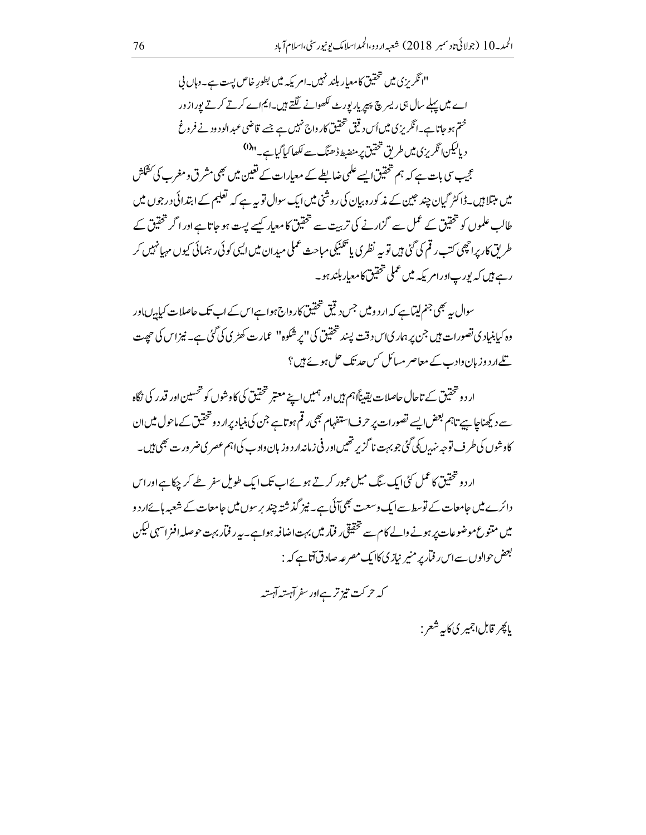"انگریزی میں تحقیق کامعیار بلند نہیں۔امریکہ میں بطورِ خاص پست ہے۔وہاں نی اے میں پہلے سال ہیں ریسر چ پیپر پار پورٹ لکھوانے لگتے ہیں۔ایم اے کرتے کرتے یورازور ختم ہو جاتا ہے۔انگریزی میں اُس دیقی تحقیق کارواج نہیں ہے جسے قاضی عبدالود ود نے فروغ د پالیکن انگریزی میں طریق تحقیق پر منضبط ڈھنگ سے لکھاکیا گیاہے۔"<sup>(1)</sup> عجیب سی بات ہے کہ ہم تحقیق ایسے علمی ضابطے کے معیارات کے تعین میں بھی مشرق ومغرب کی کشکش میں مبتلا ہیں۔ڈا کٹر گیان چند حبین کے مذ کور ہ بیان کی روشنی میں ایک سوال تو بیہ ہے کہ تعلیم کے ابتدائی در جوں میں طالب علموں کو تحقیق کے عمل سے گزارنے کی تربیت سے تحقیق کا معیار کیسے پست ہو جاتا ہے اور اگر تحقیق کے طر ىق كاريرا چھى كتب رقم كى گئى ہيں تو بہ نظرى يا تڪنيكى مباحث عملى ميدان ميں ايبى كوئى رہنمائى كيوں مہيا نہيں كر رہے ہیں کہ پورپاورامر یکہ میں عملی تحقیق کامعیار بلند ہو۔

سوال <sub>س</sub>ے بھی جنم لیتاہے کہ ار د و **می**ں جس دیتی تحقیق کار واج ہوا ہے اس کے اب تک حاصلات کیا<sub>ہ</sub>یںاور وہ کیابنیادی تصورات ہیں جن پر ہمار کیاس د قت پسند تحقیق کی ''پر شکوہ'' عمارت کھڑی کی گئی ہے۔ نیز اس کی حی<sub>ص</sub>ت <u>تلے</u>ار دوزبان داد ب کے معاصر مسائل *کس حد تک حل ہوئے ہی*ں؟

ار د و تتحقیق کے تاحال حاصلات یقیناًا ہم ہیں اور ہمیں اپنے معتبر شخقیق کی کاوشوں کو شحسین اور قدر کی نگاہ سے دیکھناجا ہیے تاہم بعض ایسے تصورات پر حرف استفہام بھی رقم ہوتاہے جن کی بنیاد پرار دو تحقیق کے ماحول میں ان کاوشوں کی طرف توجہ نہٰدں کی گئی جو بہت نا گزیر تھیںاور فی زمانہ ار دوزبان داد ب کی اہم عصر ی ضر ور ت بھی ہیں۔

ار دو تحقیق کاعمل کی ایک سنگ میل عبور کرتے ہوئے اب تک ایک طویل سفر طے کر چکا ہے اور اس دائرے میں حامعات کے توسط سے ایک وسعت بھی آئی ہے۔ نیز گذشتہ چند برسوں میں حامعات کے شعبہ ہائےار دو میں متنوع موضوعات پر ہونے والے کام سے تحقیقی ر فمار میں بہت اضافہ ہواہے۔ یہ ر فمار بہت حوصلہ افنر اسہی لیکن بعض حوالوں سے اس ِ فمار پر منیر نیازیکاایک مصرعہ صادق آناہے کہ :

کہ حرکت تیز ترےاور سفر آہستہ آہستہ

باچر قابل اڄمير ڳاکابه شعر :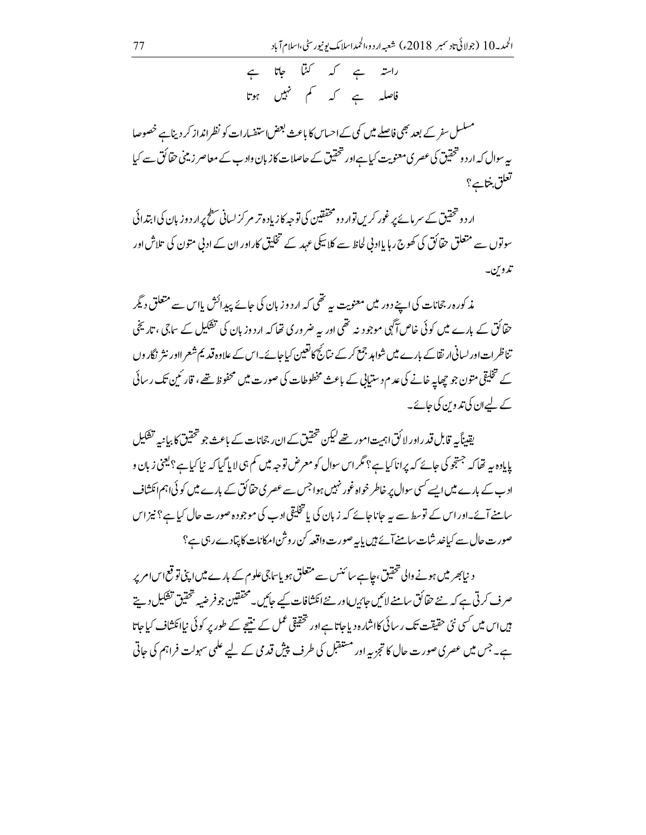مسلسل سفر کے بعد بھی فاصلے میں کمی کے احساس کا باعث بعض استفسارات کو نظرانداز کر دیناہے خصوصا بہ سوال کہ ار دو تحقیق کی عصر کی معنویت کیا ہےاور تحقیق کے حاصلات کاز بان وادب کے معاصر زمینی حقائق سے کیا تعلق بنتايج؟

ار دو څختيق کے سر مائے پر غور کریں توار د و مخفقين کی توجه کازياد ہ تر مر کز لسانی سطح پرار د وزيان کی ابتدائی سوتوں سے متعلق حقائق کی کھوج رہا یاادنی لحاظ سے کلاسکی عہد کے تخلیق کاراور ان کے ادنی متون کی تلاش اور تدوين۔

مذکورہ رجحانات کی اپنے دور میں معنویت یہ تھی کہ اردو زبان کی جائے پیدائش بااس سے متعلق دیگر حقائق کے بارے میں کوئی خاص آگہی موجود نہ تھی اور یہ ضروری تھا کہ ارد وزبان کی تشکیل کے ساجی ، تاریخی تناظر ات اور لسانی ار تقاکے بارے میں شواہد جمع کر کے نتائج کا تعین کیاجائے۔اس کے علاوہ قدیم شعر ااور نثر نگاروں کے تخلیقی متون جو پھاپہ خانے کی عدم دستیابی کے باعث مخطوطات کی صورت میں محفوظ تھے ، قار ٹمین تک رسائی کے لیےان کی تدوین کی جائے۔

یقیناً یہ قابل قدراور لا کُقاہمیت امور تھے لیکن تحقیق کے ان رجحانات کے باعث جو تحقیق کا بیانیہ تشکیل پایادہ بیہ تھا کہ جستجو کی جائے کہ پرانا کیا ہے؟ مگر اس سوال کو معرض توجہ میں کم ہی لا پا گیا کہ نیا کیا ہے؟ یعنى زبان و ادب کے بارے میں ایسے کسی سوال پر خاطر خواہ غور نہیں ہوا جس سے عصر ی حقائق کے بارے میں کو ئی اہم انکشاف سامنے آئے۔اور اس کے توسط سے ہیہ جانا جائے کہ زبان کی یا تخلیقی ادب کی موجودہ صورت حال کیا ہے؟ نیز اس صورت حال سے کیاخد شات سامنےآئے ہیں بایہ صورت داقعہ کن روشن امکانات کا پیّادےر ہی ہے؟

د نیابھر میں ہونے والی تحقیق،چاہے سائنس سے متعلق ہو پاساجی علوم کے بارے میں اپنی تو قع اس امریر صرف کرتی ہے کہ نئے حقائق سامنے لائیں جائرںاور نئے انکشافات کیے جائیں۔محققین جو فرضیہ تحقیق تشکیل دیتے ہیں اس میں <sup>کس</sup>ی نئی حقیقت تک رسائی کااشارہ دیاجاتا ہے اور تحقیقی عمل کے منتیجے کے طور پر کوئی نیاائکشاف کیاجاتا ہے۔جس میں عصری صورت حال کا تجزیہ اور مستقبل کی طرف پیش قدمی کے لیے علمی سہولت فراہم کی حاتی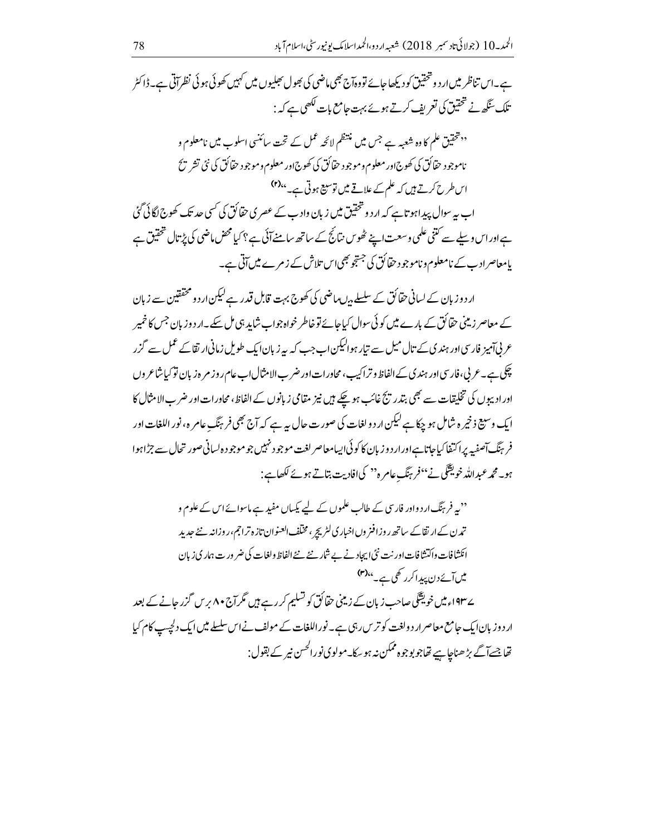ہے۔اس تناظر میں ار د و تحقیق کودیکھاجائے تووہآج بھی ماضی کی بھول پھلیوں میں کہیں کھوئی ہوئی نظر آتی ہے۔ڈاکٹر .<br>تلک سگھ نے تحقیق کی <del>تع</del>ریف کرتے ہوئے بہت حامع بات لکھی ہے کہ :

'' تتحقیق علم کا وہ شعبہ ہے جس میں منتظم لائحہ عمل کے تحت سائنسی اسلوب میں نامعلوم و ناموجود حقائق کې کھوج اور معلوم وموجود حقائق کې کھوج اور معلوم وموجود حقائق کې نئې تشر پځ اس طرح کرتے ہیں کہ علم کے علاقے میں توسیع ہوتی ہے۔'<sup>6</sup>ا اب یہ سوال پیدا ہو تاہے کہ ار د و څخقیق میں زبان واد ب کے عصر کی حقائق کی کسی حد تک کھوج لگائی گئی ہےاوراس وسلے سے کتنی علمی وسعت اپنے ٹھوس نتائج کے ساتھ سامنے آئی ہے؟ کیامحض ماضی کی پڑتال تحقیق ہے یامعاصراد ب کے نامعلوم و ناموجو د حقائق کی جستجو بھی اس تلاش کے ز مرے میں آتی ہے۔

ار دوز بان کے لسانی حقائق کے سلسلے بیں بیاضی کی کھوج بہت قابل قدر ہے لیکن ار دو مخفقین سے زبان کے معاصر زیٹنی حقائق کے بارے میں کوئی سوال کیاجائے توخاطر خواہ جواب شاید ہی مل سکے۔ار د و زبان جس کا خمیر عربی آمیز فارسی اور ہندی کے تال میل سے تیار ہوالیکن اب جب کہ پیرز بان ایک طویل زمانی ارتقاکے عمل سے گزر چکی ہے۔عربی،فارسی اور ہندی کے الفاظ و تراکیب،مجاورات اور ضر بالامثال اب عام روز م <sub>ق</sub>رنان توکیا شاعر وں اور ادیپوں کی تخلیقات سے بھی بتدریج غائب ہو چکے ہیں نیز مقامی زبانوں کے الفاظ، محاورات اور ضرب الامثال کا ایک وسیع ذخیر ہ شامل ہو چکا ہے لیکن ار دو لغات کی صورت حال ہیرہے کہ آج بھی فرینگ عامرہ، نور اللغات اور فر ہنگ آصفیہ پراکتفا کیاجاتا ہےاورار دوزبان کاکوئی ایپامعاصر لغت موجود نہیں جو موجود ہ لسانی صور تحال سے جڑاہوا ہو۔ محمد عبداللہ خویقنگ نے <sup>،</sup> فرینگ عامر ہ'' کیاافادیت بتاتے ہوئے لکھاہے :

'' یہ فر ہنگ ارد واور فارسی کے طالب علموں کے لیے پکساں مفید ہے ماسوائے اس کے علوم و تمدن کے ارتقاکے ساتھ روزافنر وںاخباری لٹریچر ، مخلف العنوان تازہ تراجم،روزانہ نئے جدید انکشافات واکتشافات اور نت نئی ایجاد نے بے شاریخے نئے الفاظ ولغات کی ضر ور ت ہماری زبان میں آئے دن پیدا کر رکھی ہے۔ <sup>۴)</sup> ے ۱۹۳۔ میں خویقنگی صاحب زبان کے زیٹنی حقائق کو تسلیم کررہے ہیں مگر آج ۸۰ برس گزر جانے کے بعد ار دوز بان ایک جامع معاصر ار دولغت کو ترین رہی ہے۔ نوراللغات کے مولف نے اس سلسلے میں ایک دلچیپ کام کیا

تھاجسےآگے بڑھناچاہیے تھاجو بوجوہ ممکن نہ ہو سکا۔مولوی نورالحسن نیر کے بقول: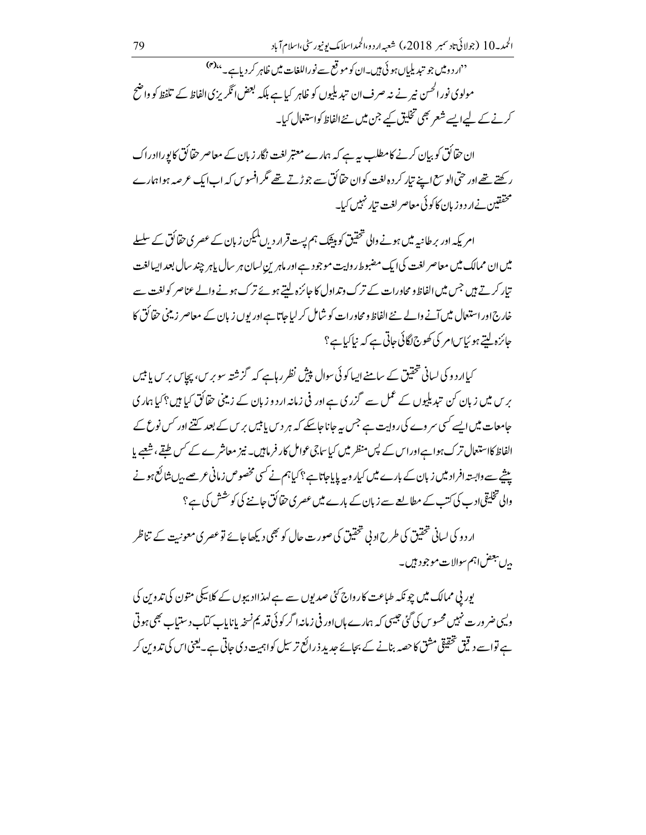<sup>د د</sup>ار د ومیں جو تیدیلیاں ہوئی ہیں۔ان کو موقع سے نوراللغات میں ظاہر کر دیاہے۔'<sup>ہ(۴)</sup> مولوی نور الحسن نیر نے نہ صرف ان تبدیلیوں کو ظاہر کیا ہے بلکہ لبھٹں انگریزی الفاظ کے تلفظ کو واضح کرنے کے لیےایسے شعر بھی تخلیق کیے جن میں نئےالفاظ کواستعمال کیا۔

ان حقائق کو بیان کرنے کامطلب سے ہے کہ ہمارے معتبر لغت نگار زبان کے معاصر حقائق کا پوراادراک رکھتے تھےاور حتی الوسع اپنے تیار کر د ہ لغت کوان حقائق سے جوڑتے تھے مگر افسوس کہ اب ایک عرصہ ہواہمارے محققین نےار د وزیان کا کوئی معاصر لغت تیار نہیں کیا۔

امر یکہ اور برطانیہ میں ہونے والی تحقیق کو بیٹک ہم پست قرار د ,ں کمیکن زیان کے عصر ی حقا کُق کے سلسلے میں ان ممالک میں معاصر لغت کی ایک مضبوط روایت موجود ہے اور ماہرین لسان ہر سال پاہر چند سال بعد ایسالغت تیار کرتے ہیں جس میں الفاظ و محاورات کے ترک وتداول کا جائزہ لیتے ہوئے ترک ہونے والے عناصر کولغت سے خارج اور استعال میں آنے والے نئے الفاظ و محاورات کو شامل کر لیا جاتا ہے اور یوں زیان کے معاصر زمینی حقائق کا جائزہ لتے ہو ئیاسام کی کھوج لگائی جاتی ہے کہ نیاکیاہے؟

کیاار دو کی لسانی تحقیق کے سامنے ایسا کوئی سوال پیشِ نظر رہاہے کہ گزشتہ سو برس، پچاس برس پا ہیں برس میں زبان کن تبدیلیوں کے عمل سے گزری ہے اور فی زمانہ اردو زبان کے زمینی حقائق کیا ہیں؟ کیا ہماری جامعات میں ایسے *کسی سر دے* کی روایت ہے جس یہ جاناجاسکے کہ ہر د س یا <del>بی</del>ں بر س کے بعد کتنے اور کس نوع کے الفاظ کااستعال ترک ہواہ اور اس کے پس منظر میں کیا ساجی عوامل کار فرماہیں۔ نیز معاشر ے کے کس طبقے، شعبے یا ییشے سے وابستہ افراد میں زبان کے بارے میں کیار وبیہ پایاجاتا ہے ؟ کیاہم نے کسی مخصوص زمانی عرصے بیا بنا کع ہونے والی تخلیقی ادب کی کتب کے مطالعے سے زبان کے بارے میں عصر ی حقائق جاننے کی کو خشش کی ہے ؟

ار دو کی لسانی تحقیق کی طرح اد بی تحقیق کی صورت حال کو بھی دیکھا جائے تو عصر ی معونیت کے تناظر م<sup>ں يجض</sup> اہم سوالات موجود ہيں۔

یور پی ممالک میں چو نکہ طباعت کارواج <sup>کئ</sup>ی صدیوں سے ہے لہذاادیپوں کے کلاسکی متون کی تدوین کی ویہی ضر ورت نہیں محسوس کی گئی جیسی کہ ہمارے ہاںاور فی زمانیہ اگر کوئی قید یم نسخہ پانایاب کتاب د ستیاب بھی ہوتی ہے تواسے دیتی تحقیقی مثق کا حصہ بنانے کے بجائے جدید ذرائع تر سیل کواہمیت دی جاتی ہے۔ یعنی اس کی تدوین کر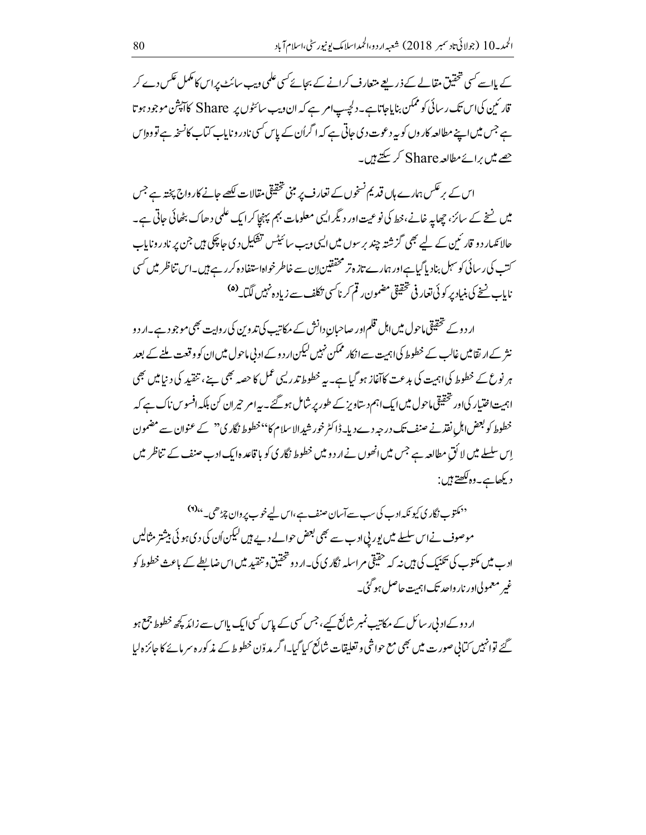کے مااسے کسی تحقیق مقالے کے ذریعے متعارف کرانے کے بجائے کسی علمی ویب سائٹ پراس کامکمل عکس دے کر قار ئىين كى اس تك رسائى كو ممكن بناياجاتا ہے۔ دلچیپ امر ہے كہ ان ویب سائٹوں پر Share كاآپشْن موجود ہوتا ہے جس میں اپنے مطالعہ کار وں کو بیرد عوت دی جاتی ہے کہ اگراُن کے پاس کسی نادر وناپاب کمانے کانسخہ ہے تووہ اِس جھے میں برائے مطالعہ Share کر سکتے ہیں۔

اس کے پر عکس ہمارے ہاں قدیم نسخوں کے تعارف پر مبنی تحقیقی مقالات لکھے جانے کاروادج پختہ ہے جس میں نسخے کے سائز، چھاپہ خانے،خط کی نوعیت اور دیگر ایپی معلومات بہم پہنچاکر ایک علمی دھاک بٹھائی جاتی ہے۔ حالا ئکہار دو قار ئین کے لیے بھی گزشتہ چند برسوں میں ایسی ویب سائیٹس تفکیل دی جا چکی ہیں جن پر نادروناپاب ۔<br>سننے کی رسائی کو سہل بنادیا گیاہےاور ہمارے تازہ تر محققین اِن سے خاطر خواہاستفادہ کررہے ہیں۔اس تناظر میں <sup>کس</sup>ی ناباب نسخ کی بنیاد پر کوئی تعار فی تحقیقی مضمون رقم کر ناسی تکلف سے زیاد ہ<sup>نہیں</sup> لگیا۔<sup>(۵</sup>)

ار دوے تحقیقی ماحول میں اہل قلم اور صاحبانِ دانش کے مرکاتیب کی تدوین کی روایت بھی موجود ہے۔ار دو نثر کے ار تقامیں غالب کے خطوط کی اہمیت سے انکار ممکن نہیں لیکن ار دو کے ادنی ماحول میں ان کو وقعت ملنے کے بعد ہر نوع کے خطوط کی اہمیت کی بدعت کاآغاز ہو گیا ہے۔بہ خطوط تدریسی عمل کا حصہ بھی ہے، تنقید کی د نیامیں بھی اہمیت اختیار کی اور تحقیقی ماحول میں ایک اہم دیتاویز کے طور پر شامل ہو گئے۔ پیہ امر حیران کن بلکہ افسوس ناک ہے کہ خطوط کو بعض اہلِ نفذ نے صنف تک درجہ دے دیا۔ڈاکٹر خورشیدالا سلام کا''خطوط نگار ک'' کے عنوان سے مضمون اِس سلسلے میں لا کُق مطالعہ ہے جس میں انھوں نے ار د و میں خطوط نگار کی کو یا قاعدہ ایک ادب صنف کے تناظر میں ديكھاہے۔وہ لکھتے ہيں :

<sup>دد</sup> مکتوب نگاری کیونکہ ادب کی سب سے آسان صنف ہے،اس لیے خوب پر وان چڑھی۔ <sup>۱۹)</sup>د موصوف نے اس سلسلے میں پور پی ادب سے بھی بعض حوالے دیے ہیں لیکن اُن کی دی ہو ئی بیشتر مثالیں ادے میں مکتوب کی تکنیک کی ہیں نیر کہ حقیقی مر اسلیہ نگار کی کی۔ار دو څخقیق و تنقید میں اس ضابطے کے باعث خطوط کو غیر معمولی اور نار واحد تک اہمت حاصل ہو گئی۔

ار دوکے ادنی ر سائل کے مکاتیب نمبر شائع کیے ، جس کسی کے پاس کسی ایک پااس سے زائد کچھ خطوط جمع ہو گئے توانہیں کیانی صورت میں بھی مع حواشی و تعلیقات شائع کیا گیا۔ا گر مدوّن خطوط کے مذکورہ سرمائے کا جائزہ لیا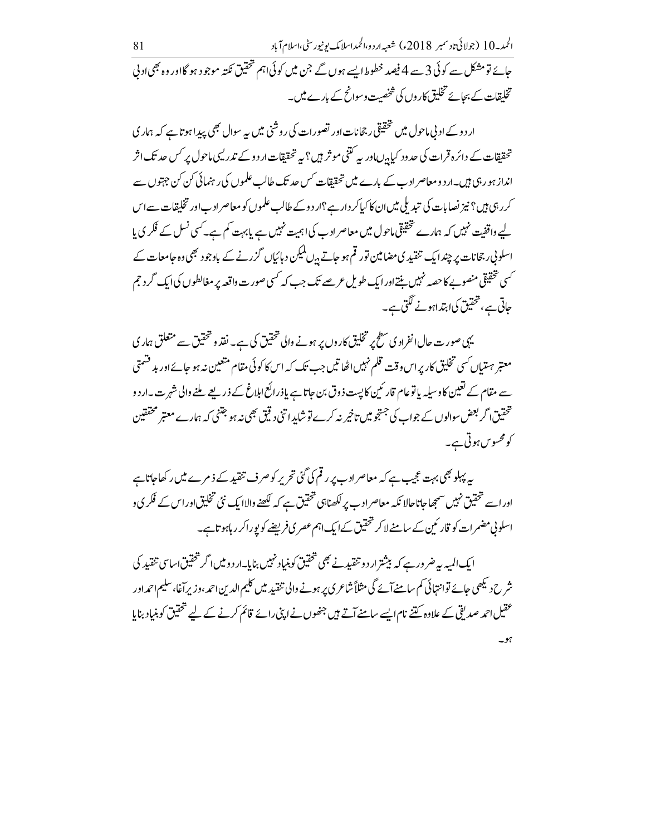ار دو کے ادنی ماحول میں تحقیقی رجحانات اور تصورات کی روشنی میں بیہ سوال بھی پیدا ہوتا ہے کہ ہمار کی ۔<br>تحققات کے دائرہ قرات کی حدود کیا<sub>ہ</sub>ںاور یہ کتنی موثر ہیں؟ یہ تحقیقات اردو کے تدریبی ماحول *پر کس حد* تک اثر انداز ہو رہی ہیں۔ار دومعاصر ادب کے بارے میں تحققات کس حد تک طالب علموں کی رہنمائی کن کن جہتوں سے کرر ہی ہیں؟ نیز نصابات کی تیدیلی میں ان کا کیاکر دار ہے؟ار دوکے طالب علموں کو معاصر ادباور تخلیقات سےاس لیے واقفیت نہیں کہ ہمارے تحقیقی ماحول میں معاصر ادب کی اہمیت نہیں ہے پابہت کم ہے۔کسی نسل کے فکر ی پا اسلونی رجحانات پر چندا یک تنقید ی مضامین تور قم ہو جاتے ہ<sup>یں لم</sup>یکن د ہائیاں گزرنے کے باوجود بھی وہ جامعات کے <sup>کس</sup>ی تحقیقی منصوبے کا حصہ نہیں بنتےاورا یک طویل عرصے تک جب کہ <sup>کس</sup>ی صورت واقعہ پر مغالطوں کیاایک گرد جم حاتی ہے، تحقیق کیا ہتداہونے لگتی ہے۔

یہی صورت حال انفراد ی سطح پر تخلیق کاروں پر ہونے والی تحقیق کی ہے۔ نفذ و تحقیق سے متعلق ہماری معتبر ہت اِک سی تخلیق کار پر اس وقت قلم نہیں اٹھا تیں جب تک کہ اس کا کوئی مقام متعین نہ ہو جائے اور بد قسمتی سے مقام کے تعیین کا وسیلیہ پاتوعام قار ٹمین کا پست ذوق بن جاتا ہے یاذرائع اہلاغ کے ذریعے ملنے والی شہر ت۔ار دو تحقیق <sub>ا</sub>گر بعض سوالوں کے جواب کی جستجو میں تاخیر نہ کرے تو شاید اتنی دیتی بھی نہ ہو جتنی کہ ہمارے معتبر محققین کومحسوس ہوتی ہے۔

بہ پہلو بھی بہت عجیب ہے کہ معاصرادب پر رقم کی گئی تحریر کوصرف تنقید کے ذمرے میں رکھاجاتاہے اوراسے تحقیق نہیں سمجھاجاتاحالا نکہ معاصرادب پر لکھناہی تحقیق ہے کہ لکھنے والاایک نئی تخلیق اوراس کے فکر ی و اسلونی مضمرات کو قار ئین کے سامنے لاکر تحقیق کے ایک اہم عصر ی فریضے کو پوراکر ر ہاہوتا ہے۔

ایک المیہ بیرضر ورہے کہ بیشتر ار دو تنقید نے بھی تحقیق کوبنیاد نہیں بنایا۔ار دومیں اگر تحقیق اساسی تنقید کی شرح دیکھی جائے توانتہائی کم سامنے آئے گی مثلاً شاعری پر ہونے والی تنقید میں کلیم الدین احمہ، وزیر آغا، سلیم احمداور عقیل احمہ صدیقی کے علاوہ کتنے نام ایسے سامنے آتے ہیں جنھوں نے اپنی رائے قائم کرنے کے لیے تحقیق کو بنیاد بنایا  $-$  %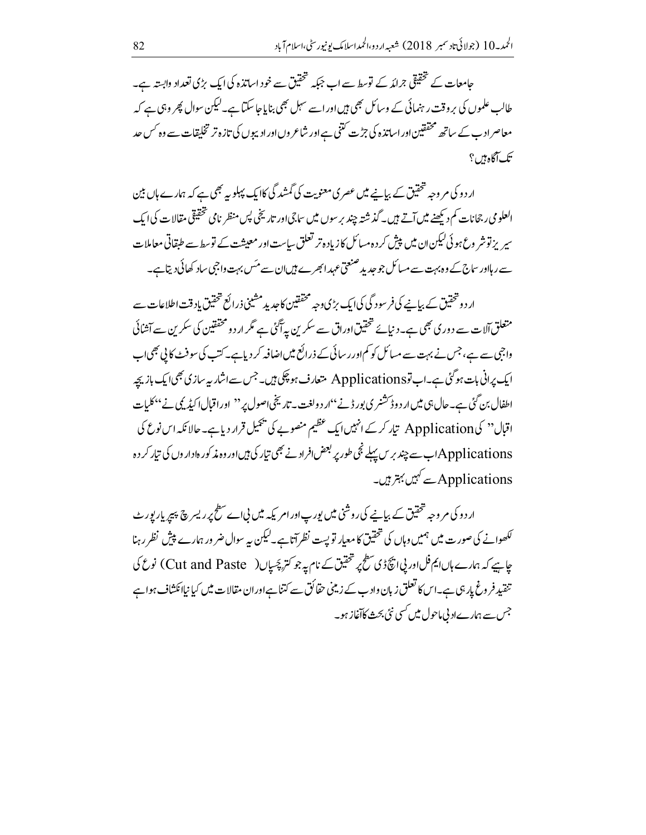حامعات کے تحقیقی جرائد کے توسط سے اب جبکہ تحقیق سے خود اساتذہ کی ایک بڑی تعداد وابستہ ہے۔ طالب علموں کی بر وقت رہنمائی کے وسائل بھی ہیں اور اسے سہل بھی بنایا جا سکتا ہے۔لیکن سوال پھر وہی ہے کہ معاصر ادب کے ساتھ محققین اور اساتذہ کی جڑت کتنی ہے اور شاعر وں اور ادیبوں کی تازہ تر تخلیقات سے وہ کس حد تک آگاه ہیں ؟

ار دو کی م وجہ شخصیق کے بیانے میں عصر کی معنویت کی گمشد گی کاایک پہلویہ بھی ہے کہ ہمارے ماں بین العلومی رجحانات کم د بھنے میں آتے ہیں۔ گذشتہ چند پر سوں میں ساجی اور تاریخی پس منظر نامی تحقیقی مقالات کی ایک سپر پزتوشر وع ہو ئی کیکن ان میں پیش کر دہ مسائل کازیادہ تر تعلق ساست اور معیشت کے توسط سے طبقاتی معاملات سے رہااور ساج کے وہ بہت سے مسائل جو جدید صنعتی عہد ابھرے ہیںان سے مئس بہت واجبی ساد کھائی دیتا ہے۔

ار د وتحقیق کے بیانے کی فر سود گی کی ایک بڑی وجہ مخفقین کاجدید مشینی ذرائع تحقیق باد قت اطلاعات سے متعلق آلات سے دور کی بھی ہے۔دیائے تحقیق اوراق سے سکرین پی<sup>آگ</sup>ئی ہے مگر ار دو محققین کی سکرین سے آشائی واجی سے ہے، جس نے بہت سے مسائل کو کم اور رسائی کے ذرائع میں اضافہ کر دیاہے۔کتب کی سوفٹ کالی بھی اب ایک پرانی بات ہو گئی ہے۔اب توApplications متعارف ہو چکی ہیں۔جس سےاشار پہ سازی بھی ایک باز پچہ اطفال بن گئی ہے۔حال ہی میں ار د وڈ کشنری بور ڈنے ''ار د ولغت۔ تاریخی اصول پر'' اوراقبال اکیڈیکی نے ''کلمات اقبال" کیApplication ہیار کرے انہیں ایک عظیم منصوبے کی پجیل قرار دیاہے۔ حالا نکہ اس نوع کی Applicationsسے چند برس پہلے نجی طور پر بعض افراد نے بھی تیار کی ہیںاور وہ مذکور ہاداروں کی تیار کر دہ Applicationsسے کہیں بہتر ہیں۔

ار دو کی مروجہ تحقیق کے بیانیے کی روشنی میں پورپ اور امر یکہ میں نیاے سطح پر ریسر پچ پیپر پار پورٹ <sup>لک</sup>ھوانے کی صورت میں ہمیں وہاں کی تحقیق کا معیار توپست نظر آتا ہے۔لیکن یہ سوال ضر ور ہمارے پیش نظر رہنا چاہیے کہ ہمارے ہاںایم فل اور پی انکچ ڈی سطح پر تحقیق کے نام پہ جو کتر پچسپاں( Cut and Paste ) نوع کی تنقید فروغ پار ہی ہے۔اس کا تعلق زبان واد ب کے زمینی حقائق سے کتناہے اوران مقالات میں کیا نیاائکشاف ہوا ہے جس سے ہمارےاد بی ماحول میں <sup>کس</sup>ی نئی بحث کاآغاز ہو۔